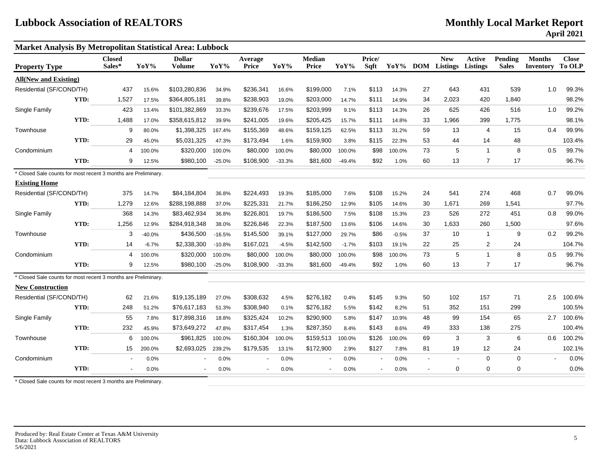**Market Analysis By Metropolitan Statistical Area: Lubbock Closed Dollar Average Median Price/ New Active Pending Months Close** Property Type Sales\* YoY% Volume YoY% Price YoY% Sqft YoY% DOM Listings Listings Sales Inventory To OLP **All(New and Existing)** Residential (SF/COND/TH) 437 15.6% \$103,280,836 34.9% \$236,341 16.6% \$199,000 7.1% \$113 14.3% 27 643 431 539 1.0 99.3% **YTD:** 1,527 17.5% \$364,805,181 39.8% \$238,903 19.0% \$203,000 14.7% \$111 14.9% 34 2,023 420 1,840 98.2% Single Family 423 13.4% \$101,382,869 33.3% \$239,676 17.5% \$203,999 9.1% \$113 14.3% 26 625 426 516 1.0 99.2% **YTD:** 1,488 17.0% \$358,615,812 39.9% \$241,005 19.6% \$205,425 15.7% \$111 14.8% 33 1,966 399 1,775 98.1% Townhouse 9 80.0% \$1,398,325 167.4% \$155,369 48.6% \$159,125 62.5% \$113 31.2% 59 13 4 15 0.4 99.9% **YTD:** 29 45.0% \$5,031,325 47.3% \$173,494 1.6% \$159,900 3.8% \$115 22.3% 53 44 14 48 103.4% Condominium 4 100.0% \$320,000 100.0% \$80,000 100.0% \$80,000 100.0% \$98 100.0% 73 5 1 8 0.5 99.7% **YTD:** 9 12.5% \$980,100 -25.0% \$108,900 -33.3% \$81,600 -49.4% \$92 1.0% 60 13 7 17 96.7% \* Closed Sale counts for most recent 3 months are Preliminary. **Existing Home** Residential (SF/COND/TH) 375 14.7% \$84,184,804 36.8% \$224,493 19.3% \$185,000 7.6% \$108 15.2% 24 541 274 468 0.7 99.0% **YTD:** 1,279 12.6% \$288,198,888 37.0% \$225,331 21.7% \$186,250 12.9% \$105 14.6% 30 1,671 269 1,541 97.7% Single Family 368 14.3% \$83,462,934 36.8% \$226,801 19.7% \$186,500 7.5% \$108 15.3% 23 526 272 451 0.8 99.0% **YTD:** 1,256 12.9% \$284,918,348 38.0% \$226,846 22.3% \$187,500 13.6% \$106 14.6% 30 1,633 260 1,500 97.6% Townhouse 3 -40.0% \$436,500 -16.5% \$145,500 39.1% \$127,000 29.7% \$86 -0.5% 37 10 1 9 0.2 99.2% **YTD:** 14 -6.7% \$2,338,300 -10.8% \$167,021 -4.5% \$142,500 -1.7% \$103 19.1% 22 25 2 24 104.7% Condominium 4 100.0% \$320,000 100.0% \$80,000 100.0% \$80,000 100.0% \$98 100.0% 73 5 1 8 0.5 99.7% **YTD:** 9 12.5% \$980,100 -25.0% \$108,900 -33.3% \$81,600 -49.4% \$92 1.0% 60 13 7 17 96.7% \* Closed Sale counts for most recent 3 months are Preliminary. **New Construction** Residential (SF/COND/TH) 62 21.6% \$19,135,189 27.0% \$308,632 4.5% \$276,182 0.4% \$145 9.3% 50 102 157 71 2.5 100.6% **YTD:** 248 51.2% \$76,617,183 51.3% \$308,940 0.1% \$276,182 5.5% \$142 8.2% 51 352 151 299 100.5% Single Family 55 7.8% \$17,898,316 18.8% \$325,424 10.2% \$290,900 5.8% \$147 10.9% 48 99 154 65 2.7 100.6% **YTD:** 232 45.9% \$73,649,272 47.8% \$317,454 1.3% \$287,350 8.4% \$143 8.6% 49 333 138 275 100.4% Townhouse 6 100.0% \$961,825 100.0% \$160,304 100.0% \$159,513 100.0% \$126 100.0% 69 3 3 6 0.6 100.2% **YTD:** 15 200.0% \$2,693,025 239.2% \$179,535 13.1% \$172,900 2.9% \$127 7.8% 81 19 12 24 102.1% Condominium - 0.0% - 0.0% - 0.0% - 0.0% - 0-0% - 0 0 0 - 0.0% **YTD:** - 0.0% - 0.0% - 0.0% - 0.0% - 0.0% - 0.0% - 0.0% - 0.0% - 0.0% - 0.0% - 0.0% - 0.0% - 0.0% - 0.0% - 0.0%

\* Closed Sale counts for most recent 3 months are Preliminary.